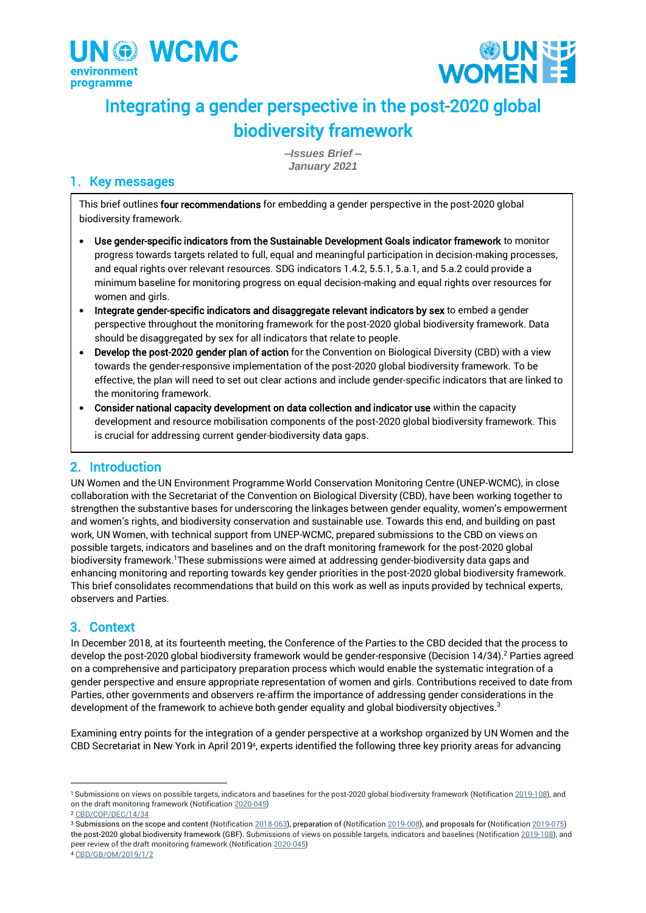



# Integrating a gender perspective in the post-2020 global biodiversity framework

*–Issues Brief – January 2021*

# 1. Key messages

This brief outlines four recommendations for embedding a gender perspective in the post-2020 global biodiversity framework.

- Use gender-specific indicators from the Sustainable Development Goals indicator framework to monitor progress towards targets related to full, equal and meaningful participation in decision-making processes, and equal rights over relevant resources. SDG indicators 1.4.2, 5.5.1, 5.a.1, and 5.a.2 could provide a minimum baseline for monitoring progress on equal decision-making and equal rights over resources for women and girls.
- Integrate gender-specific indicators and disaggregate relevant indicators by sex to embed a gender perspective throughout the monitoring framework for the post-2020 global biodiversity framework. Data should be disaggregated by sex for all indicators that relate to people.
- Develop the post-2020 gender plan of action for the Convention on Biological Diversity (CBD) with a view towards the gender-responsive implementation of the post-2020 global biodiversity framework. To be effective, the plan will need to set out clear actions and include gender-specific indicators that are linked to the monitoring framework.
- Consider national capacity development on data collection and indicator use within the capacity development and resource mobilisation components of the post-2020 global biodiversity framework. This is crucial for addressing current gender-biodiversity data gaps.

# 2. Introduction

UN Women and the UN Environment Programme World Conservation Monitoring Centre (UNEP-WCMC), in close collaboration with the Secretariat of the Convention on Biological Diversity (CBD), have been working together to strengthen the substantive bases for underscoring the linkages between gender equality, women's empowerment and women's rights, and biodiversity conservation and sustainable use. Towards this end, and building on past work, UN Women, with technical support from UNEP-WCMC, prepared submissions to the CBD on views on possible targets, indicators and baselines and on the draft monitoring framework for the post-2020 global biodiversity framework.<sup>1</sup>These submissions were aimed at addressing gender-biodiversity data gaps and enhancing monitoring and reporting towards key gender priorities in the post-2020 global biodiversity framework. This brief consolidates recommendations that build on this work as well as inputs provided by technical experts, observers and Parties.

# 3. Context

In December 2018, at its fourteenth meeting, the Conference of the Parties to the CBD decided that the process to develop the post-2020 global biodiversity framework would be gender-responsive (Decision 14/34). <sup>2</sup> Parties agreed on a comprehensive and participatory preparation process which would enable the systematic integration of a gender perspective and ensure appropriate representation of women and girls. Contributions received to date from Parties, other governments and observers re-affirm the importance of addressing gender considerations in the development of the framework to achieve both gender equality and global biodiversity objectives. 3

Examining entry points for the integration of a gender perspective at a workshop organized by UN Women and the CBD Secretariat in New York in April 2019<sup>4</sup> , experts identified the following three key priority areas for advancing

<sup>&</sup>lt;sup>1</sup> Submissions on views on possible targets, indicators and baselines for the post-2020 global biodiversity framework [\(Notification 2019-108\)](https://www.cbd.int/doc/notifications/2019/ntf-2019-108-post2020-en.pdf), and on the draft monitoring framework (Notificatio[n 2020-045\)](https://www.cbd.int/notifications/2020-045)

<sup>2</sup> [CBD/COP/DEC/14/34](https://www.cbd.int/doc/decisions/cop-14/cop-14-dec-34-en.pdf)

<sup>&</sup>lt;sup>3</sup> Submissions on the scope and content (Notification [2018-063\),](https://www.cbd.int/doc/notifications/2018/ntf-2018-063-post2020-en.pdf) preparation of [\(Notification 2019-008\)](https://www.cbd.int/conferences/post2020/submissions/2019-008), and proposals for [\(Notification 2019-075\)](https://www.cbd.int/doc/notifications/2019/ntf-2019-075-post2020-en.pdf) the post-2020 global biodiversity framework (GBF). Submissions of views on possible targets, indicators and baselines [\(Notification 2019-108\)](https://www.cbd.int/doc/notifications/2019/ntf-2019-108-post2020-en.pdf), and peer review of the draft monitoring framework (Notificatio[n 2020-045\)](https://www.cbd.int/conferences/post2020/submissions/2020-045) <sup>4</sup> [CBD/GB/OM/2019/1/2](https://www.cbd.int/doc/c/423f/a276/206bc2751c07658af8fa1a4a/gb-om-2019-01-02-en.pdf)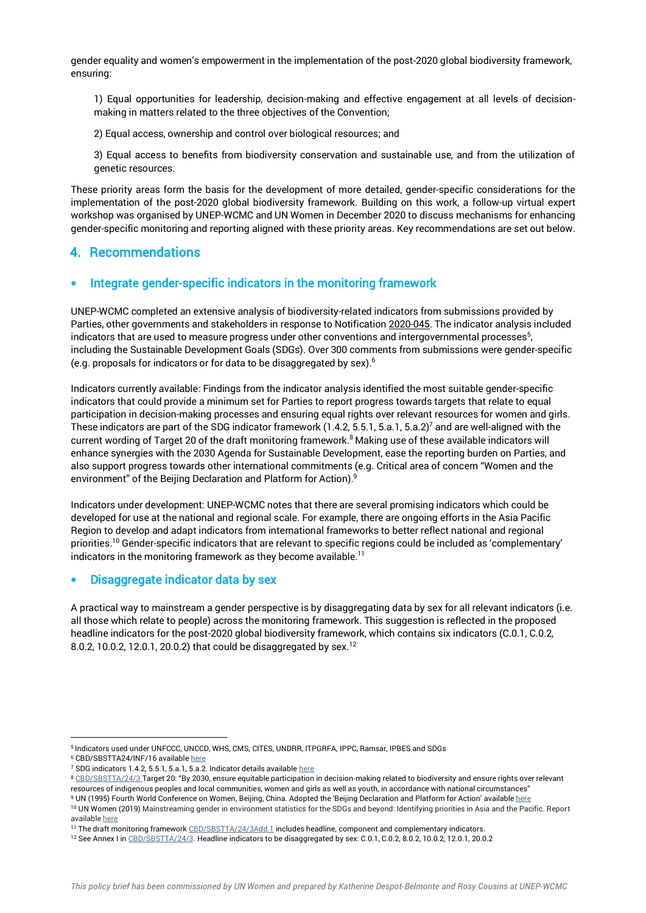gender equality and women's empowerment in the implementation of the post-2020 global biodiversity framework, ensuring:

1) Equal opportunities for leadership, decision-making and effective engagement at all levels of decisionmaking in matters related to the three objectives of the Convention;

2) Equal access, ownership and control over biological resources; and

3) Equal access to benefits from biodiversity conservation and sustainable use, and from the utilization of genetic resources.

These priority areas form the basis for the development of more detailed, gender-specific considerations for the implementation of the post-2020 global biodiversity framework. Building on this work, a follow-up virtual expert workshop was organised by UNEP-WCMC and UN Women in December 2020 to discuss mechanisms for enhancing gender-specific monitoring and reporting aligned with these priority areas. Key recommendations are set out below.

### 4. Recommendations

#### • Integrate gender-specific indicators in the monitoring framework

UNEP-WCMC completed an extensive analysis of biodiversity-related indicators from submissions provided by Parties, other governments and stakeholders in response to Notificatio[n 2020-045.](https://www.cbd.int/conferences/post2020/submissions/2020-045) The indicator analysis included indicators that are used to measure progress under other conventions and intergovernmental processes $^5$ , including the Sustainable Development Goals (SDGs). Over 300 comments from submissions were gender-specific (e.g. proposals for indicators or for data to be disaggregated by sex). $6$ 

Indicators currently available: Findings from the indicator analysis identified the most suitable gender-specific indicators that could provide a minimum set for Parties to report progress towards targets that relate to equal participation in decision-making processes and ensuring equal rights over relevant resources for women and girls. These indicators are part of the SDG indicator framework (1.4.2, 5.5.1, 5.a.1, 5.a.2)<sup>7</sup> and are well-aligned with the current wording of Target 20 of the draft monitoring framework. <sup>8</sup> Making use of these available indicators will enhance synergies with the 2030 Agenda for Sustainable Development, ease the reporting burden on Parties, and also support progress towards other international commitments (e.g. Critical area of concern "Women and the environment" of the Beijing Declaration and Platform for Action). 9

Indicators under development: UNEP-WCMC notes that there are several promising indicators which could be developed for use at the national and regional scale. For example, there are ongoing efforts in the Asia Pacific Region to develop and adapt indicators from international frameworks to better reflect national and regional priorities.<sup>10</sup> Gender-specific indicators that are relevant to specific regions could be included as 'complementary' indicators in the monitoring framework as they become available.<sup>11</sup>

#### • Disaggregate indicator data by sex

A practical way to mainstream a gender perspective is by disaggregating data by sex for all relevant indicators (i.e. all those which relate to people) across the monitoring framework. This suggestion is reflected in the proposed headline indicators for the post-2020 global biodiversity framework, which contains six indicators (C.0.1, C.0.2, 8.0.2, 10.0.2, 12.0.1, 20.0.2) that could be disaggregated by sex.<sup>12</sup>

<sup>5</sup> Indicators used under UNFCCC, UNCCD, WHS, CMS, CITES, UNDRR, ITPGRFA, IPPC, Ramsar, IPBES and SDGs

<sup>6</sup> CBD/SBSTTA24/INF/16 availabl[e here](https://www.cbd.int/doc/c/a6d3/3108/88518eab9c9d12b1c418398d/sbstta-24-inf-16-en.pdf)

<sup>7</sup> SDG indicators 1.4.2, 5.5.1, 5.a.1, 5.a.2. Indicator details availabl[e here](https://unstats.un.org/sdgs/indicators)

<sup>&</sup>lt;sup>8</sup> [CBD/SBSTTA/24/3](https://www.cbd.int/doc/c/8e95/2d27/2a226d32d59cd705e119b5a6/sbstta-24-03-en.pdf) Target 20: "By 2030, ensure equitable participation in decision-making related to biodiversity and ensure rights over relevant resources of indigenous peoples and local communities, women and girls as well as youth, in accordance with national circumstances"

<sup>9</sup> UN (1995) Fourth World Conference on Women, Beijing, China. Adopted the 'Beijing Declaration and Platform for Action' availabl[e here](https://www.un.org/womenwatch/daw/beijing/platform/) <sup>10</sup> UN Women (2019) Mainstreaming gender in environment statistics for the SDGs and beyond: Identifying priorities in Asia and the Pacific. Report availabl[e here](https://data.unwomen.org/publications/mainstreaming-gender-environment-statistics-sdgs-and-beyond-identifying-priorities)

<sup>11</sup> The draft monitoring framewor[k CBD/SBSTTA/24/3Add.1](https://www.cbd.int/doc/c/ddf4/06ce/f004afa32d48740b6c21ab98/sbstta-24-03-add1-en.pdf) includes headline, component and complementary indicators.

<sup>12</sup> See Annex I in [CBD/SBSTTA/24/3.](https://www.cbd.int/doc/c/8e95/2d27/2a226d32d59cd705e119b5a6/sbstta-24-03-en.pdf) Headline indicators to be disaggregated by sex: C.0.1, C.0.2, 8.0.2, 10.0.2, 12.0.1, 20.0.2